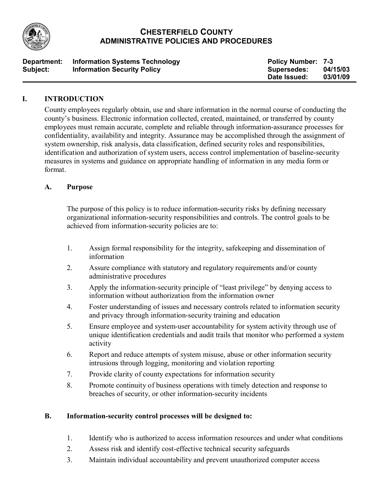

# **CHESTERFIELD COUNTY ADMINISTRATIVE POLICIES AND PROCEDURES**

| Department: | <b>Information Systems Technology</b> | <b>Policy Number: 7-3</b> |          |
|-------------|---------------------------------------|---------------------------|----------|
| Subject:    | <b>Information Security Policy</b>    | <b>Supersedes:</b>        | 04/15/03 |
|             |                                       | Date Issued:              | 03/01/09 |

### **I. INTRODUCTION**

County employees regularly obtain, use and share information in the normal course of conducting the county's business. Electronic information collected, created, maintained, or transferred by county employees must remain accurate, complete and reliable through information-assurance processes for confidentiality, availability and integrity. Assurance may be accomplished through the assignment of system ownership, risk analysis, data classification, defined security roles and responsibilities, identification and authorization of system users, access control implementation of baseline-security measures in systems and guidance on appropriate handling of information in any media form or format.

### **A. Purpose**

The purpose of this policy is to reduce information-security risks by defining necessary organizational information-security responsibilities and controls. The control goals to be achieved from information-security policies are to:

- 1. Assign formal responsibility for the integrity, safekeeping and dissemination of information
- 2. Assure compliance with statutory and regulatory requirements and/or county administrative procedures
- 3. Apply the information-security principle of "least privilege" by denying access to information without authorization from the information owner
- 4. Foster understanding of issues and necessary controls related to information security and privacy through information-security training and education
- 5. Ensure employee and system-user accountability for system activity through use of unique identification credentials and audit trails that monitor who performed a system activity
- 6. Report and reduce attempts of system misuse, abuse or other information security intrusions through logging, monitoring and violation reporting
- 7. Provide clarity of county expectations for information security
- 8. Promote continuity of business operations with timely detection and response to breaches of security, or other information-security incidents

# **B. Information-security control processes will be designed to:**

- 1. Identify who is authorized to access information resources and under what conditions
- 2. Assess risk and identify cost-effective technical security safeguards
- 3. Maintain individual accountability and prevent unauthorized computer access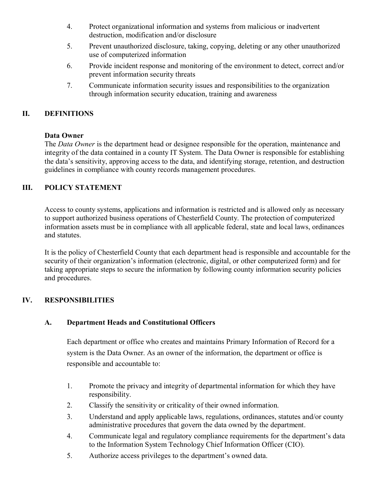- 4. Protect organizational information and systems from malicious or inadvertent destruction, modification and/or disclosure
- 5. Prevent unauthorized disclosure, taking, copying, deleting or any other unauthorized use of computerized information
- 6. Provide incident response and monitoring of the environment to detect, correct and/or prevent information security threats
- 7. Communicate information security issues and responsibilities to the organization through information security education, training and awareness

# **II. DEFINITIONS**

#### **Data Owner**

The *Data Owner* is the department head or designee responsible for the operation, maintenance and integrity of the data contained in a county IT System. The Data Owner is responsible for establishing the data's sensitivity, approving access to the data, and identifying storage, retention, and destruction guidelines in compliance with county records management procedures.

### **III. POLICY STATEMENT**

Access to county systems, applications and information is restricted and is allowed only as necessary to support authorized business operations of Chesterfield County. The protection of computerized information assets must be in compliance with all applicable federal, state and local laws, ordinances and statutes.

It is the policy of Chesterfield County that each department head is responsible and accountable for the security of their organization's information (electronic, digital, or other computerized form) and for taking appropriate steps to secure the information by following county information security policies and procedures.

### **IV. RESPONSIBILITIES**

### **A. Department Heads and Constitutional Officers**

Each department or office who creates and maintains Primary Information of Record for a system is the Data Owner. As an owner of the information, the department or office is responsible and accountable to:

- 1. Promote the privacy and integrity of departmental information for which they have responsibility.
- 2. Classify the sensitivity or criticality of their owned information.
- 3. Understand and apply applicable laws, regulations, ordinances, statutes and/or county administrative procedures that govern the data owned by the department.
- 4. Communicate legal and regulatory compliance requirements for the department's data to the Information System Technology Chief Information Officer (CIO).
- 5. Authorize access privileges to the department's owned data.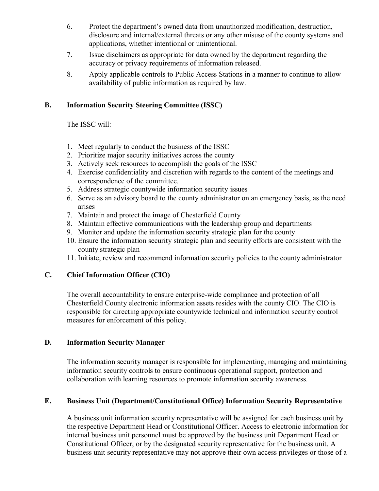- 6. Protect the department's owned data from unauthorized modification, destruction, disclosure and internal/external threats or any other misuse of the county systems and applications, whether intentional or unintentional.
- 7. Issue disclaimers as appropriate for data owned by the department regarding the accuracy or privacy requirements of information released.
- 8. Apply applicable controls to Public Access Stations in a manner to continue to allow availability of public information as required by law.

### **B. Information Security Steering Committee (ISSC)**

The ISSC will:

- 1. Meet regularly to conduct the business of the ISSC
- 2. Prioritize major security initiatives across the county
- 3. Actively seek resources to accomplish the goals of the ISSC
- 4. Exercise confidentiality and discretion with regards to the content of the meetings and correspondence of the committee.
- 5. Address strategic countywide information security issues
- 6. Serve as an advisory board to the county administrator on an emergency basis, as the need arises
- 7. Maintain and protect the image of Chesterfield County
- 8. Maintain effective communications with the leadership group and departments
- 9. Monitor and update the information security strategic plan for the county
- 10. Ensure the information security strategic plan and security efforts are consistent with the county strategic plan
- 11. Initiate, review and recommend information security policies to the county administrator

### **C. Chief Information Officer (CIO)**

The overall accountability to ensure enterprise-wide compliance and protection of all Chesterfield County electronic information assets resides with the county CIO. The CIO is responsible for directing appropriate countywide technical and information security control measures for enforcement of this policy.

#### **D. Information Security Manager**

The information security manager is responsible for implementing, managing and maintaining information security controls to ensure continuous operational support, protection and collaboration with learning resources to promote information security awareness.

### **E. Business Unit (Department/Constitutional Office) Information Security Representative**

A business unit information security representative will be assigned for each business unit by the respective Department Head or Constitutional Officer. Access to electronic information for internal business unit personnel must be approved by the business unit Department Head or Constitutional Officer, or by the designated security representative for the business unit. A business unit security representative may not approve their own access privileges or those of a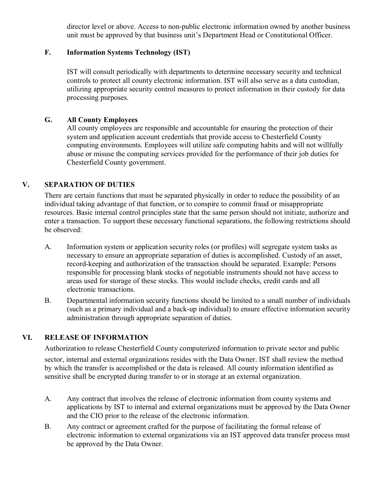director level or above. Access to non-public electronic information owned by another business unit must be approved by that business unit's Department Head or Constitutional Officer.

# **F. Information Systems Technology (IST)**

IST will consult periodically with departments to determine necessary security and technical controls to protect all county electronic information. IST will also serve as a data custodian, utilizing appropriate security control measures to protect information in their custody for data processing purposes.

### **G. All County Employees**

All county employees are responsible and accountable for ensuring the protection of their system and application account credentials that provide access to Chesterfield County computing environments. Employees will utilize safe computing habits and will not willfully abuse or misuse the computing services provided for the performance of their job duties for Chesterfield County government.

### **V. SEPARATION OF DUTIES**

There are certain functions that must be separated physically in order to reduce the possibility of an individual taking advantage of that function, or to conspire to commit fraud or misappropriate resources. Basic internal control principles state that the same person should not initiate, authorize and enter a transaction. To support these necessary functional separations, the following restrictions should be observed:

- A. Information system or application security roles (or profiles) will segregate system tasks as necessary to ensure an appropriate separation of duties is accomplished. Custody of an asset, record-keeping and authorization of the transaction should be separated. Example: Persons responsible for processing blank stocks of negotiable instruments should not have access to areas used for storage of these stocks. This would include checks, credit cards and all electronic transactions.
- B. Departmental information security functions should be limited to a small number of individuals (such as a primary individual and a back-up individual) to ensure effective information security administration through appropriate separation of duties.

# **VI. RELEASE OF INFORMATION**

Authorization to release Chesterfield County computerized information to private sector and public sector, internal and external organizations resides with the Data Owner. IST shall review the method by which the transfer is accomplished or the data is released. All county information identified as sensitive shall be encrypted during transfer to or in storage at an external organization.

- A. Any contract that involves the release of electronic information from county systems and applications by IST to internal and external organizations must be approved by the Data Owner and the CIO prior to the release of the electronic information.
- B. Any contract or agreement crafted for the purpose of facilitating the formal release of electronic information to external organizations via an IST approved data transfer process must be approved by the Data Owner.